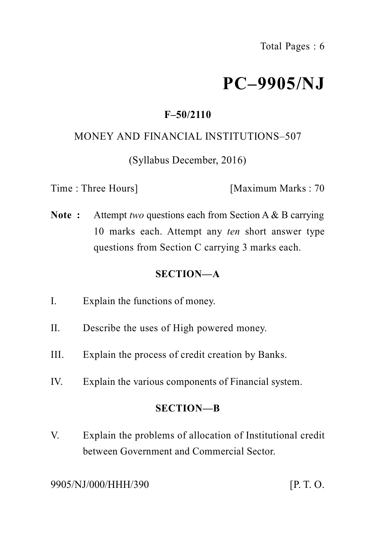# **PC–9905/NJ**

## **F–50/2110**

#### MONEY AND FINANCIAL INSTITUTIONS–507

(Syllabus December, 2016)

Time : Three Hours] [Maximum Marks : 70

**Note :** Attempt *two* questions each from Section A & B carrying 10 marks each. Attempt any *ten* short answer type questions from Section C carrying 3 marks each.

### **SECTION—A**

- I. Explain the functions of money.
- II. Describe the uses of High powered money.
- III. Explain the process of credit creation by Banks.
- IV. Explain the various components of Financial system.

### **SECTION—B**

V. Explain the problems of allocation of Institutional credit between Government and Commercial Sector.

9905/NJ/000/HHH/390 [P. T. O.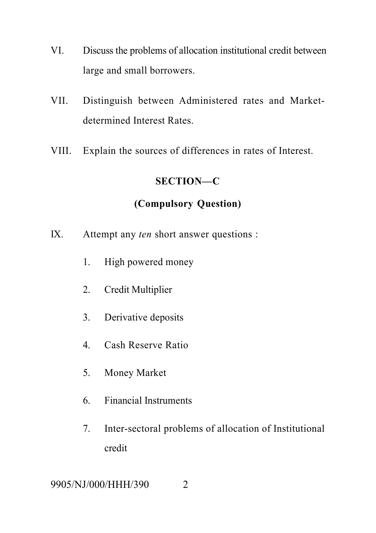- VI. Discuss the problems of allocation institutional credit between large and small borrowers.
- VII. Distinguish between Administered rates and Marketdetermined Interest Rates.
- VIII. Explain the sources of differences in rates of Interest.

#### **SECTION—C**

## **(Compulsory Question)**

- IX. Attempt any *ten* short answer questions :
	- 1. High powered money
	- 2. Credit Multiplier
	- 3. Derivative deposits
	- 4. Cash Reserve Ratio
	- 5. Money Market
	- 6. Financial Instruments
	- 7. Inter-sectoral problems of allocation of Institutional credit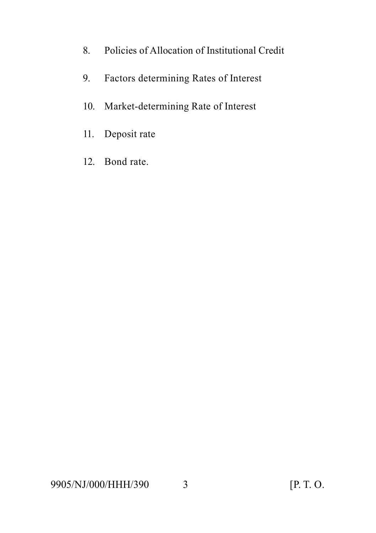- 8. Policies of Allocation of Institutional Credit
- 9. Factors determining Rates of Interest
- 10. Market-determining Rate of Interest
- 11. Deposit rate
- 12. Bond rate.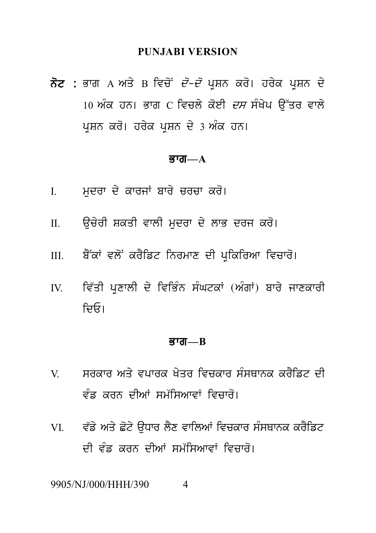#### **PUNJABI VERSION**

PUNJABI VERSION<br>ਨੋਟ : ਭਾਗ A ਅਤੇ B ਵਿਚੋਂ *ਦੋ–ਦੋ* ਪ੍ਰਸ਼ਨ ਕਰੋ। ਹਰੇਕ ਪ੍ਰਸ਼ਨ ਦੇ<br>10 ਅੰਕ ਹਨ। ਭਾਗ C ਵਿਚਲੇ ਕੋਈ *ਦਸ* ਸੰਖੇਪ ਉੱਤਰ ਵਾਲੇ PUNJABI VERSION<br>ਭਾਗ A ਅਤੇ B ਵਿਚੋਂ *ਦੋ–ਦੋ* ਪ੍ਰਸ਼ਨ ਕਰੋ। ਹਰੇਕ ਪ੍ਰਸ਼ਨ ਦੇ<br>10 ਅੰਕ ਹਨ। ਭਾਗ C ਵਿਚਲੇ ਕੋਈ *ਦਸ* ਸੰਖੇਪ ਉੱਤਰ ਵਾਲੇ<br>ਪ੍ਰਸ਼ਨ ਕਰੋ। ਹਰੇਕ ਪ੍ਰਸ਼ਨ ਦੇ 3 ਅੰਕ ਹਨ। ਨੋਟ : ਭਾਗ A ਅਤੇ B ਵਿਚੋਂ *ਦੋ–ਦੋ* ਪ੍ਰਸ਼ਨ ਕਰੋ। ਹਰੇਕ ਪ੍ਰਸ਼ਨ ਦੇ<br>10 ਅੰਕ ਹਨ। ਭਾਗ C ਵਿਚਲੇ ਕੋਈ *ਦਸ* ਸੰਖੇਪ ਉੱਤਰ ਵਾਲੇ<br>ਪੁਸ਼ਨ ਕਰੋ। ਹਰੇਕ ਪੁਸ਼ਨ ਦੇ 3 ਅੰਕ ਹਨ।

#### $\overline{g}$ ਯ $\overline{m}$  $\overline{a}$

- 
- **ਭਾਗ—A**<br>I. ਮੁਦਰਾ ਦੇ ਕਾਰਜਾਂ ਬਾਰੇ ਚਰਚਾ ਕਰੋ।<br>II. ਉਚੇਰੀ ਸ਼ਕਤੀ ਵਾਲੀ ਮੁਦਰਾ ਦੇ ਲਾਭ ਦਰਜ ਕਰੋ।
- I. ਮੁਦਰਾ ਦੇ ਕਾਰਜਾਂ ਬਾਰੇ ਚਰਚਾ ਕਰੋ।<br>II. ਉਚੇਰੀ ਸ਼ਕਤੀ ਵਾਲੀ ਮੁਦਰਾ ਦੇ ਲਾਭ ਦਰਜ ਕਰੋ।<br>III. ਬੈਂਕਾਂ ਵਲੋਂ ਕਰੈਡਿਟ ਨਿਰਮਾਣ ਦੀ ਪ੍ਰਕਿਰਿਆ ਵਿਚਾਰੋ।
- II. ਉਚੇਰੀ ਸ਼ਕਤੀ ਵਾਲੀ ਮੁਦਰਾ ਦੇ ਲਾਭ ਦਰਜ ਕਰੋ।<br>III. ਬੈਂਕਾਂ ਵਲੋਂ ਕਰੈਡਿਟ ਨਿਰਮਾਣ ਦੀ ਪ੍ਰਕਿਰਿਆ ਵਿਚਾਰੋ।<br>IV. ਵਿੱਤੀ ਪ੍ਰਣਾਲੀ ਦੇ ਵਿਭਿੰਨ ਸੰਘਟਕਾਂ (ਅੰਗਾਂ) ਬਾਰੇ ਜਾਣਕਾਰੀ III. ਬੈਂਕਾਂ ਵਲੋਂ ਕਰੈਡਿਟ ਨਿਰਮਾਣ ਦੀ ਪ੍ਰਕਿਰਿਆ ਵਿਚਾਰੋ।<br>IV. ਵਿੱਤੀ ਪ੍ਰਣਾਲੀ ਦੇ ਵਿਭਿੰਨ ਸੰਘਟਕਾਂ (ਅੰਗਾਂ) ਬਾਰੇ ਜਾਣਕਾਰੀ<br>ਦਿਓ। ਜ਼ਿਓ।

#### Bwg**—B**

- ਭਾਗ—B<br>V. ਸਰਕਾਰ ਅਤੇ ਵਪਾਰਕ ਖੇਤਰ ਵਿਚਕਾਰ ਸੰਸਥਾਨਕ ਕਰੈਡਿਟ ਦੀ<br>ਵੰਡ ਕਰਨ ਦੀਆਂ ਸਮੱਸਿਆਵਾਂ ਵਿਚਾਰੋ। **ਭਾਗ—B<br>ਸਰਕਾਰ ਅਤੇ ਵਪਾਰਕ ਖੇਤਰ ਵਿਚਕਾਰ ਸੰਸਥਾਨਕ ਕਰੈਡਿਟ ਦੀ<br>ਵੰਡ ਕਰਨ ਦੀਆਂ ਸਮੱਸਿਆਵਾਂ ਵਿਚਾਰੋ।<br>ਵੱਡੇ ਅਤੇ ਛੋਟੇ ਉਧਾਰ ਲੈਣ ਵਾਲਿਆਂ ਵਿਚਕਾਰ ਸੰਸਥਾਨਕ ਕਰੈਡਿਟ**
- VI. v `f y Aq y C ot y a uDwr l Yx vwilAW ivckwr s MsQwnk kr Yift ਵੰਡ ਕਰਨ ਦੀਆਂ ਸਮੱਸਿਆਵਾਂ ਵਿਚਾਰਂ।<br>ਵੱਡੇ ਅਤੇ ਛੋਟੇ ਉਧਾਰ ਲੈਣ ਵਾਲਿਆਂ ਵਿਚਕਾਰ ਸੰਸਥਾਨਕ ਕਰੈਡਿਟ<br>ਦੀ ਵੰਡ ਕਰਨ ਦੀਆਂ ਸਮੱਸਿਆਵਾਂ ਵਿਚਾਰੋ।<br>I/000/HHH/390 4

9905/NJ/000/HHH/390 4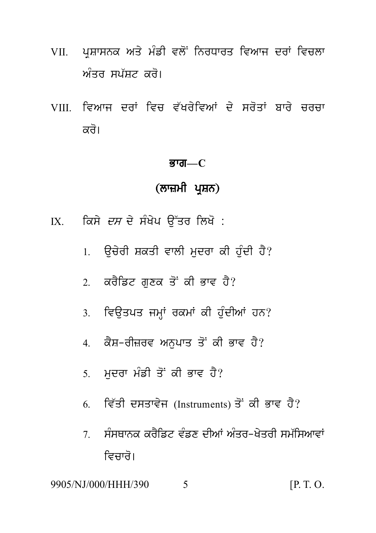- VII. ਪਸ਼ਾਸਨਕ ਅਤੇ ਮੰਡੀ ਵਲੋਂ ਨਿਰਧਾਰਤ ਵਿਆਜ ਦਰਾਂ ਵਿਚਲਾ ਅੰਤਰ ਸਪੱਸਟ *ਕ*ਰੋ।
- VIII ਵਿਆਜ ਦਰਾਂ ਵਿਚ ਵੱਖਰੇਵਿਆਂ ਦੇ ਸਰੋਤਾਂ ਬਾਰੇ ਚਰਚਾ ਕਰੋ।

#### ਭਾਗ $-C$

## (ਲਾਜ਼ਮੀ ਪ੍ਰਸ਼ਨ)

- IX. ਕਿਸੇ *ਦਸ* ਦੇ ਸੰਖੇਪ ਉੱਤਰ ਲਿਖੋ :
	- 1. ਉਚੇਰੀ ਸ਼ਕਤੀ ਵਾਲੀ ਮਦਰਾ ਕੀ ਹੰਦੀ ਹੈ?
	- 2. ਕਰੈਡਿਟ ਗਣਕ ਤੋਂ ਕੀ ਭਾਵ ਹੈ?
	- 3. ਵਿਉਤਪਤ ਜਮ੍ਹਾਂ ਰਕਮਾਂ ਕੀ ਹੰਦੀਆਂ ਹਨ?
	- 4. ਕੈਸ਼-ਰੀਜ਼ਰਵ ਅਨਪਾਤ ਤੋਂ ਕੀ ਭਾਵ ਹੈ?
	- 5. ਮਦਰਾ ਮੰਡੀ ਤੋਂ ਕੀ ਭਾਵ ਹੈ?
	- 6. ਵਿੱਤੀ ਦਸਤਾਵੇਜ (Instruments) ਤੋਂ ਕੀ ਭਾਵ ਹੈ?
	- ਸੰਸਥਾਨਕ ਕਰੈਡਿਟ ਵੰਡਣ ਦੀਆਂ ਅੰਤਰ-ਖੇਤਰੀ ਸਮੱਸਿਆਵਾਂ  $7\overline{ }$ ਵਿਜ਼ਾਰੋ।

9905/NJ/000/HHH/390 5  $[P, T, O]$